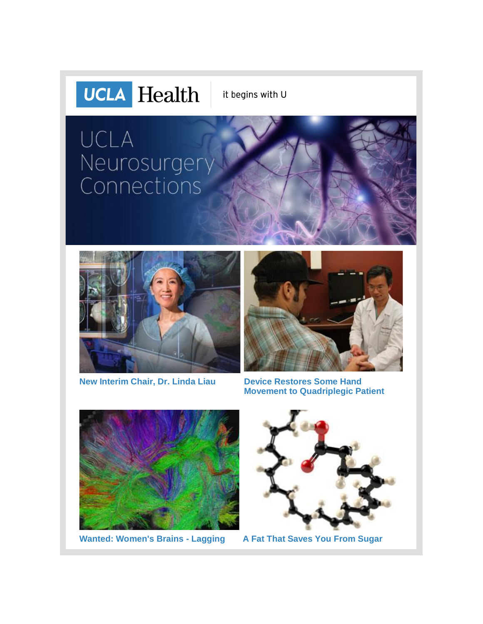

it begins with U

# UCLA Neurosurgery<br>Connections







**[Movement to Quadriplegic Patient](http://r20.rs6.net/tn.jsp?f=001c8bGtucjeXncnDznvR1rOzshjXCEHfONCvDDXkLbrmNZ8M_UV9m3cvrubuBmjtbfh-yuuaZw820VQolTquTyvNZcOsnPkudFd-gAORzhrHjNDkFHGNKmG7nTyEW1HPy5bqwZ5u0WtCdCSvfX96-f1pzeT-5VqEUlWG0HmFMfNvKsA7yyD6VojviVCgMj3_-Yn0cxo71-DTuzWAQwGkNW-7cLAGGUY-x3NmEkCQcy3tgFXXPejUXVs-FT_1T4NZtHikDIuPdpuW664r_y9BnUbD7p23R5KdUZ9efcBQFNMofP3YbC3lVyEdZTmk_3cO3YQp77wTPs1bp4fI7HPivQHqtQS3xJMb0cawljboYf5OE8YvxcUGeItmRzHfu-7ym1BMvgl2jc9g2IsnhrmTvbYzxTx0n7jmnWBUtSbmjtzrCPaQ-ZFUlV94hxdPCkTOuk-1zlKlGLaNmx_VuenX__pQ==&c=hM2CddXhh2-t0E30dGdxyOCGL3dhA1bj5N7qMuCsx-hjJNSYeKoEfQ==&ch=VDxJ7TXg4idtI3RzrBuNsBrfkxaAFA_4Q1AbIJo0BffnaJAOBzzWOw==)**



**[Wanted: Women's Brains -](http://r20.rs6.net/tn.jsp?f=001c8bGtucjeXncnDznvR1rOzshjXCEHfONCvDDXkLbrmNZ8M_UV9m3cvrubuBmjtbf-c8LmvECzMm4woaTQ9ZNh_4WzrUWXdsvu04THMs6HqZZ_-u6yg_6ejBR2iCL10XYO7vS8gkzfaTAO1AF1qptdq7SOC6Xhr8dKDHTZGzOieLeuPlV2qqjSd_TzpZ9o8MBeOX6fmhxHZS3O3qfqzoPT_cXz4UIDMbShwiCLEXax7dZRqmYO1MbCkiy_Ktrp6dYvk3iNxAyPzzoBkV_LgufFSVFFeYUDkYiCA1lXPLyNirGkjjYPFxoqbS1KWK2-Trie01VhHVbkRiQVa9ZESLNn42ZACqKtLjxqxZ2bKIgqhyZRbVNh2uMPPdvjRcHb1DO-7NxEaFSfO4i5y3DQTqVRQ==&c=hM2CddXhh2-t0E30dGdxyOCGL3dhA1bj5N7qMuCsx-hjJNSYeKoEfQ==&ch=VDxJ7TXg4idtI3RzrBuNsBrfkxaAFA_4Q1AbIJo0BffnaJAOBzzWOw==) Lagging [A Fat That Saves You From Sugar](http://r20.rs6.net/tn.jsp?f=001c8bGtucjeXncnDznvR1rOzshjXCEHfONCvDDXkLbrmNZ8M_UV9m3cvrubuBmjtbfPWxbGq6FtjxPWfmKoX-SFaW-6F120XMe9kxWHnZPk7SuqJRkgqmHtyIWMVw62hA5DOOGC-98DHcF18RPhVIXCY23sX66pbpnv3jQ_Sjofb7uOOKcBrBI2_ijGM_JDvTY1m9W7Du-fCQh5xSUuATNCkLohBr7NTZi6HuBfPa98T4EenS-W75Y_EkBjSD2Jl1KzK2Vi9aj6--0LEmKp9nwXOo5jwEzpc3izA_BasvDFHDCuq0RFOC3Guf0IVL_ifD0CwLH_sIlSYK2uIFewicb972IjvGdmriUeCRYBOvsKItXVrjKflr0vm9P8I5yXubQ-dMWjaKhdwOvwW6jf1q_oRhoNSQPKipOHG-vHCoJDs0=&c=hM2CddXhh2-t0E30dGdxyOCGL3dhA1bj5N7qMuCsx-hjJNSYeKoEfQ==&ch=VDxJ7TXg4idtI3RzrBuNsBrfkxaAFA_4Q1AbIJo0BffnaJAOBzzWOw==)**

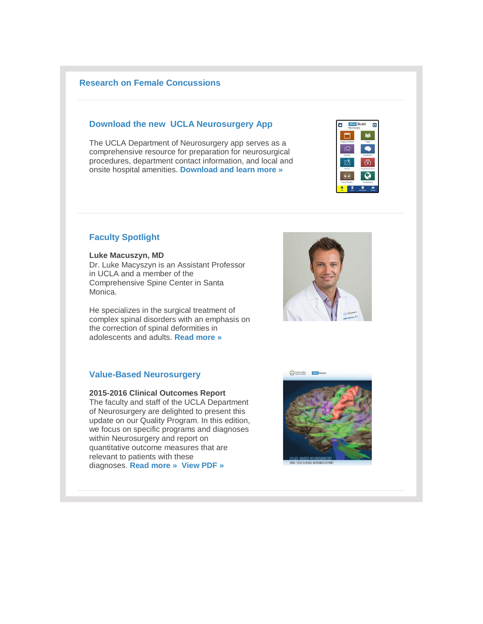## **[Research on Female Concussions](http://r20.rs6.net/tn.jsp?f=001c8bGtucjeXncnDznvR1rOzshjXCEHfONCvDDXkLbrmNZ8M_UV9m3cvrubuBmjtbf-c8LmvECzMm4woaTQ9ZNh_4WzrUWXdsvu04THMs6HqZZ_-u6yg_6ejBR2iCL10XYO7vS8gkzfaTAO1AF1qptdq7SOC6Xhr8dKDHTZGzOieLeuPlV2qqjSd_TzpZ9o8MBeOX6fmhxHZS3O3qfqzoPT_cXz4UIDMbShwiCLEXax7dZRqmYO1MbCkiy_Ktrp6dYvk3iNxAyPzzoBkV_LgufFSVFFeYUDkYiCA1lXPLyNirGkjjYPFxoqbS1KWK2-Trie01VhHVbkRiQVa9ZESLNn42ZACqKtLjxqxZ2bKIgqhyZRbVNh2uMPPdvjRcHb1DO-7NxEaFSfO4i5y3DQTqVRQ==&c=hM2CddXhh2-t0E30dGdxyOCGL3dhA1bj5N7qMuCsx-hjJNSYeKoEfQ==&ch=VDxJ7TXg4idtI3RzrBuNsBrfkxaAFA_4Q1AbIJo0BffnaJAOBzzWOw==)**

#### **Download the new UCLA Neurosurgery App**

The UCLA Department of Neurosurgery app serves as a comprehensive resource for preparation for neurosurgical procedures, department contact information, and local and onsite hospital amenities. **[Download and learn more »](http://r20.rs6.net/tn.jsp?f=001c8bGtucjeXncnDznvR1rOzshjXCEHfONCvDDXkLbrmNZ8M_UV9m3cuToK-htozrYkBZSPAF446YkJKll0OPvWxPdR209pXbTyh5GFWD4gDfsF3MImJbIT_TEzE9YYbebYGZVKOL1Mx7xKAsPKOmV1qj-w27_s8e2xRMbRuzBTVRNByj2_-dVhcW5Y6kdgpepWthnmhHti75PFrfnz1F8TxXXIzONoBEnZILrGEqDC1uHWufW2PXJLZ7mbXNPym41o0bN2CopE0P2DaMT7Z3Nuc3B_ktuPVdHg9rym7ASwPOHZbO8ocOBoVYzYfqYdNnlOxqGQWzYf-1beDKSk1-E8AMKbICoZDSzluKfYpFfjnD36Qi2CGlU2uZtIkCtFeIY&c=hM2CddXhh2-t0E30dGdxyOCGL3dhA1bj5N7qMuCsx-hjJNSYeKoEfQ==&ch=VDxJ7TXg4idtI3RzrBuNsBrfkxaAFA_4Q1AbIJo0BffnaJAOBzzWOw==)**



## **Faculty Spotlight**

#### **Luke Macuszyn, MD**

Dr. Luke Macyszyn is an Assistant Professor in UCLA and a member of the Comprehensive Spine Center in Santa Monica.

He specializes in the surgical treatment of complex spinal disorders with an emphasis on the correction of spinal deformities in adolescents and adults. **[Read more »](http://r20.rs6.net/tn.jsp?f=001c8bGtucjeXncnDznvR1rOzshjXCEHfONCvDDXkLbrmNZ8M_UV9m3cuB8PKEqW5-MPNQoR_SoLc9h4IBow0WMRbPFvcnXXIKe3lXshqYNZ5G8nVWwXhHlSwPNRD3LHaaWqN2U1EyiJOAFHT8G-REAmGa7CY8OCqPSQPIN7_EI6B5fXOHQzrYsW4JsYTdCoLpsRkZYytlyXj9U_Asl-KIx6QgwLkx9PJzRMs6iyHwG25WtaMFDe5kQzfZFOYAUh0dDp-Z7ImQjNPULdRGtVa3BxQKWNS5AXZ000sV1swX4_nshyiFKA7ijDTolYVK2gq5NNCeMnsuJiBbZ-L9FavS748_CwbOBLk8-FANwsn5WCI8=&c=hM2CddXhh2-t0E30dGdxyOCGL3dhA1bj5N7qMuCsx-hjJNSYeKoEfQ==&ch=VDxJ7TXg4idtI3RzrBuNsBrfkxaAFA_4Q1AbIJo0BffnaJAOBzzWOw==)**

## **Value-Based Neurosurgery**

#### **2015-2016 Clinical Outcomes Report** The faculty and staff of the UCLA Department of Neurosurgery are delighted to present this update on our Quality Program. In this edition, we focus on specific programs and diagnoses within Neurosurgery and report on quantitative outcome measures that are relevant to patients with these diagnoses. **[Read more »](http://r20.rs6.net/tn.jsp?f=001c8bGtucjeXncnDznvR1rOzshjXCEHfONCvDDXkLbrmNZ8M_UV9m3cvrubuBmjtbfcRIMIXztOFzhrzBIVpYEEXW9LI3k4vZYalyoX6sgUSKA_91_zJ05K3AUBx0PuR8woD7JttBeg2JNudgdzleTcaRH93gIHwfehsm-6XTdy2M_lvuJ1l34Aj9tGumElEOPMe-zGMTFK6xLUJIiq_M7GsGV9c2VUTt5Qhu-Bxf5AtZlqs9qqCpQ430xzDM9KE8bMPRAWhTU1u8G_-2UlDy-2FeVK8L15dtamBX7eCfRiav-46t0CGZIW1taqW_iKKG37cE5tkgZSh-gb9b4X226Z3PyIDftLA9niKzkPiGhBtYZB6f5SM3Pu3-sAPQvRYu1zlMJsa58vNg=&c=hM2CddXhh2-t0E30dGdxyOCGL3dhA1bj5N7qMuCsx-hjJNSYeKoEfQ==&ch=VDxJ7TXg4idtI3RzrBuNsBrfkxaAFA_4Q1AbIJo0BffnaJAOBzzWOw==) [View PDF »](http://r20.rs6.net/tn.jsp?f=001c8bGtucjeXncnDznvR1rOzshjXCEHfONCvDDXkLbrmNZ8M_UV9m3cvrubuBmjtbfzBpzclfwTNTjWjrSeXV2FAavZjlfS4VeeW7y6G4fRKGoBKr6l4YECHm9e4X_as7pk4zYbqnVXxEAzACEyf33BpXR8rFrs3UAR-DCUmLGqaq1lNgFeXW8C6ougjIlBp-9GDA3CxSvzkn45s0MPfb9DRz9RxfNokb7uqNEenEdrpsNaElhQAYG4uuS1yiXSK7qWtf5-xSzM5tpdlwhnpSlY_yz0Fi6rikl7A4p9c3Y3PyJeblavFQNRDPUFzWCRN5IGib_Ji_zif5OddERYRjCuEaSDE6MYuWkhDVuusrh7iIxjYn77u6SvFvHqNrIU6i7H03kQtOkDHcWanp7blMixVTr_ll30AeGLgv50GkUaptWlh3kem5gWGVrdWG1NFYmW_L581khFuREy-OLeUcCyFQAWq5QaBbP&c=hM2CddXhh2-t0E30dGdxyOCGL3dhA1bj5N7qMuCsx-hjJNSYeKoEfQ==&ch=VDxJ7TXg4idtI3RzrBuNsBrfkxaAFA_4Q1AbIJo0BffnaJAOBzzWOw==)**